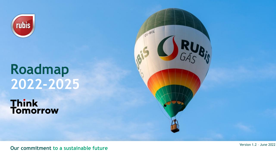

# **Roadmap 2022-2025**

**Think<br>Tomorrow** 



**Our commitment to a sustainable future**

Version 1.2 – June 2022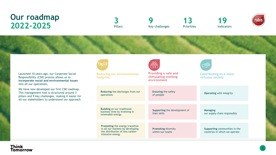### **Our roadmap 2022-2025**

**3** Pillars

**9** Key challenges

**13** Priorities

**19** Indicators



Launched 10 years ago, our Corporate Social Responsibility (CSR) process allows us to **incorporate social and environmental issues**  into all our operations.

We have now developed our first CSR roadmap. This management tool is structured around 3 pillars and 9 key challenges, making it easier for all our stakeholders to understand our approach.



**Reducing our environmental footprint**

**Reducing** the discharges from our

**Building** on our traditional business lines by investing in

**Promoting** the energy transition in all our markets by developing the distribution of less carbon-

renewable energy

operations

intensive energy



**Providing a safe and stimulating working environment**

> **Ensuring** the safety of peolple

**Supporting** the development of their skills

**Promoting** diversity within our teams



**Contributing to a more virtuous society** 

**Operating** with integrity

**Managing** our supply chain responsibly

**Supporting** communities in the countries in which we operate

#### Think **Tomorrow**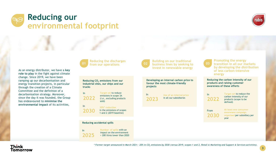



**3**

As an energy distributor, we have a **key role to play** in the fight against climate change. Since 2019, we have been ramping up our decarbonisation and energy transition projects, in particular through the creation of a Climate Committee and the definition of a decarbonisation strategy. Moreover, since the day it was founded, the Group has endeavoured to **minimise the environmental impact** of its activities,



**Reducing the discharges from our operations 01**

**Reducing CO<sup>2</sup> emissions from our industrial sites, our ships and our trucks**

> **Target set** to reduce emissions in scope 3A (*i.e.,* excluding products sold)

**30%\* reduction**  in the emissions of scopes 1 and 2 (2019 baseline)

**Reducing accidental spills**

In **2025**

In

In

**2022**

**2030**

**Number of spills** with an impact on the environment > 200 litres lower than 2020

**Building on our traditional 02**

**projects**

In **2023**

**business lines by seeking to invest in renewable energy**

**Developing an internal carbon price to favour the most climate-friendly** 

> **Use of an internal price**  in all our subsidiaries



In

**Promoting the energy transition in all our markets by developing the distribution of less carbon-intensive energy**

**Reducing the carbon intensity of our products and raising customer awareness of these efforts**

**2022** defined)

**Target set** to reduce the carbon intensity of our products (scope to be

From **2030** **At least one consumer awareness campaign organised** per subsidiary per year

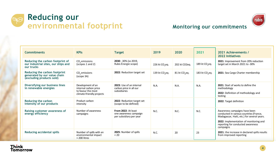



### **Monitoring our commitments**

| <b>Commitments</b>                                                                         | <b>KPIs</b>                                                                                   | <b>Target</b>                                                            | 2019                         | 2020                      | 2021                       | 2021 Achievements /<br><b>2022 Initiatives</b>                                                                                                                                                                      |
|--------------------------------------------------------------------------------------------|-----------------------------------------------------------------------------------------------|--------------------------------------------------------------------------|------------------------------|---------------------------|----------------------------|---------------------------------------------------------------------------------------------------------------------------------------------------------------------------------------------------------------------|
| Reducing the carbon footprint of<br>our industrial sites, our ships and<br>our trucks      | $CO2$ emissions<br>(scopes 1 and 2)                                                           | 2030: -30% (vs 2019,<br>Rubis Énergie scope)                             | 226 kt $CO$ <sub>2</sub> eq. | 202 kt CO2eq.             | 189 kt CO <sub>2</sub> eq. | 2021: Improvement from 20% reduction<br>target set in March 2021 to -30%                                                                                                                                            |
| Reducing the carbon footprint<br>generated by our value chain<br>(excluding products sold) | $CO2$ emissions<br>(scope 3A)                                                                 | 2022: Reduction target set                                               | 139 kt CO <sub>2</sub> eq.   | 81 kt CO <sub>2</sub> eq. | 183 kt CO <sub>2</sub> eq. | 2021: Sea Cargo Charter membership                                                                                                                                                                                  |
| Diversifying our business lines<br>in renewable energies                                   | Development of an<br>internal carbon price<br>to favour the most<br>climate-friendly projects | 2023: Use of an internal<br>carbon price in all our<br>subsidiaries      | N.A.                         | N.A.                      | N.A.                       | <b>2021:</b> Start of works to define the<br>methodology<br>2022: Definition of methodology and<br>testing                                                                                                          |
| Reducing the carbon<br>intensity of our products                                           | Product carbon<br>intensity                                                                   | 2022: Reduction target set<br>(scope to be defined)                      |                              |                           |                            | 2022: Target definition                                                                                                                                                                                             |
| Raising customer awareness of<br>energy efficiency                                         | Number of awareness<br>campaigns                                                              | From 2022: At least<br>one awareness campaign<br>per subsidiary per year | N.C.                         | N.C.                      | N.C.                       | Awareness campaigns have been<br>conducted in various countries (France,<br>Madagascar, Haiti, etc.) for several years.<br>2022: Implementation of monitoring and<br>reporting for conducted awareness<br>campaigns |
| <b>Reducing accidental spills</b>                                                          | Number of spills with an<br>environmental impact<br>> 200 litres                              | 2025: Number of spills<br>< 20                                           | N.C.                         | 20                        | 23                         | 2021: the increase in declared spills results<br>from improved reporting                                                                                                                                            |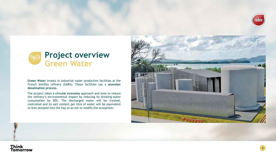



**Green Water** invests in industrial water production facilities at the French Antilles refinery (SARA). These facilities use a **seawater desalination process**.

The project takes a **circular economy** approach and aims to reduce the refinery's environmental impact by reducing its drinking-water consumption by 80%. The discharged water will be treated, controlled and its salt content per litre of water will be equivalent to that pumped into the bay so as not to modify the ecosystem.



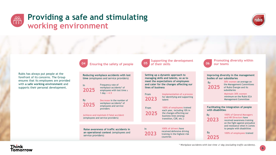#### **Providing a safe and stimulating ees working environment**



Rubis has always put people at the forefront of its concerns. The Group ensures that its employees are provided with **a safe working environment** and supports their personal development.

**Reducing workplace accidents with lost time** (employees and service providers)

**2025** Frequency rate of workplace accidents\* of employees with lost time ≥ 1 day **< 4.5**

**04 Ensuring the safety of people**

By **2025 Decrease** in the number of workplace accidents\* of employees and service providers

In

**Achieve and maintain 0 fatal accident**  (employees and service providers)

**Raise awareness of traffic accidents in an operational context** (employees and service providers)

**Supporting the development 05 of their skills**

**Setting up a dynamic approach to managing skills and talents, so as to meet the expectations of employees and cater for the changes affecting our lines of business**

From **2023 Implementation of a process**  for identifying and supporting talent

**100% of employees** trained From **2025**

In

each year, including 10% in the changes affecting our business lines (energy transition, CSR, etc.)

**2023 100% of drivers** have received defensive driving training in the highest-risk countries



**Promoting diversity within 06 our teams**

**Improving diversity in the management bodies of our subsidiaries** 



**30% women** on average on the Management Committees of Rubis Énergie and its subsidiaries

**Maintain 30% women**  minimum on the Rubis SCA Management Committee

#### **Facilitating the integration of people with disabilities**

By **2023**

> By **2025**

**100% of General Managers and HR Directors** have received awareness training on the fight against prejudice and resistance when it comes to people with disabilities

**100% of employees** trained

#### **Think** Tomorrow

*\* Workplace accidents with lost time ≥1 day (excluding traffic accidents).*

**6**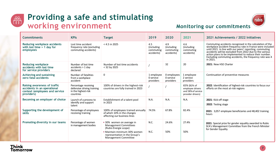

## **Providing a safe and stimulating working environment**



### **Monitoring our commitments**

| <b>Commitments</b>                                                                                          | <b>KPIs</b>                                                                            | <b>Target</b>                                                                                                                                                               | 2019                                         | 2020                                         | 2021                                                                       | 2021 Achievements / 2022 Initiatives                                                                                                                                                                                                                                                                                                                                          |
|-------------------------------------------------------------------------------------------------------------|----------------------------------------------------------------------------------------|-----------------------------------------------------------------------------------------------------------------------------------------------------------------------------|----------------------------------------------|----------------------------------------------|----------------------------------------------------------------------------|-------------------------------------------------------------------------------------------------------------------------------------------------------------------------------------------------------------------------------------------------------------------------------------------------------------------------------------------------------------------------------|
| Reducing workplace accidents<br>with lost time $> 1$ day for<br>employees                                   | Lost time accident<br>frequency rate (excluding<br>commuting accidents)                | $< 4.5$ in 2025                                                                                                                                                             | 4.5<br>(including<br>commuting<br>accidents) | 4.9<br>(including<br>commuting<br>accidents) | 4.6<br>(including<br>commuting<br>accidents)                               | Commuting accidents recognised in the calculation of the<br>workplace accident frequency rate in France were included<br>until 2021. In line with our peers' reporting, commuting<br>accidents will be excluded from 2022 due to the various<br>action plans to be implemented to reduce their number.<br>Excluding commuting accidents, the frequency rate was 4<br>in 2021. |
| <b>Reducing workplace</b><br>accidents with lost time<br>for service providers                              | Number of lost time<br>accidents > 1 day<br>declared                                   | Number of lost time accidents<br>$<$ 32 by 2025                                                                                                                             |                                              | 32                                           | 20                                                                         | 2021: New HSE Charter                                                                                                                                                                                                                                                                                                                                                         |
| <b>Achieving and sustaining</b><br>zero fatal accidents                                                     | Number of fatalities<br>from a workplace<br>accident                                   | $\mathbf{0}$                                                                                                                                                                | 1 employee<br>0 service<br>providers         | 0 employees<br>0 service<br>providers        | 1 employee<br>2 service<br>providers                                       | Continuation of preventive measures                                                                                                                                                                                                                                                                                                                                           |
| Raising awareness of traffic<br>accidents in an operational<br>context (employees and service<br>providers) | Percentage receiving<br>defensive driving training<br>in the highest-risk<br>countries | 100% of drivers in the highest-risk<br>countries are fully trained in 2023                                                                                                  |                                              |                                              | 65% (82% of<br>employee drivers<br>and 58% of service<br>provider drivers) | 2022: Identification of highest-risk countries to focus our<br>efforts on the most at-risk regions                                                                                                                                                                                                                                                                            |
| Becoming an employer of choice                                                                              | Launch of a process to<br>identify and support<br>talent                               | Establishment of a talent pool<br>in 2023                                                                                                                                   | N.A.                                         | N.A.                                         | N.A.                                                                       | 2021: Kick-off stage<br>2022: Testing stage                                                                                                                                                                                                                                                                                                                                   |
| Supporting the development of<br>skills                                                                     | Percentage of employees<br>receiving training                                          | 100% of employees trained annually<br>of which 10% in the changes<br>affecting our business lines                                                                           | 74.5%                                        | 67.8%                                        | 82.4%                                                                      | 2021: 3,057 employee beneficiaries and 48,402 training<br>hours                                                                                                                                                                                                                                                                                                               |
| Promoting diversity in our teams                                                                            | Percentage of women<br>in management bodies                                            | • 30% women on average in<br><b>Management Committees</b><br>(Rubis Énergie scope)<br>• Maintain minimum 30% women<br>representation in the Group's<br>Management Committee | N.C.<br>N.C.                                 | 24.6%<br>50%                                 | 27.4%<br>50%                                                               | 2021: Special prize for gender equality awarded to Rubis<br>SCA's Management Committee from the French Minister<br>for Gender Equality                                                                                                                                                                                                                                        |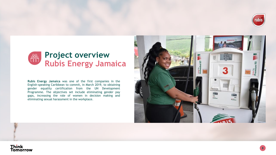

### **Project overview** 888 **Rubis Energy Jamaica**

**Rubis Energy Jamaica** was one of the first companies in the English-speaking Caribbean to commit, in March 2019, to obtaining gender equality certification from the UN Development Programme. The objectives set include eliminating gender pay gaps, increasing the role of women in decision making and eliminating sexual harassment in the workplace.



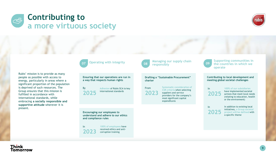



Rubis' mission is to provide as many people as possible with access to energy, particularly in areas where a significant proportion of the population is deprived of such resources. The Group ensures that this mission is fulfilled in accordance with international standards, while embracing **a socially responsible and supportive attitude** wherever it is present.



**Ensuring that our operations are run in a way that respects human rights**

| )25 | Adhesion of Rubis SCA to key<br>international standards |
|-----|---------------------------------------------------------|
|     |                                                         |

By **20** 

In

**Encouraging our employees to understand and adhere to our ethics and compliance rules**

**2023 100% of employees** have received ethics and anticorruption training



**Managing our supply chain 08 responsibly**

**Drafting a "Sustainable Procurement" charter**



**Systematic consideration of CSR criteria** when selecting suppliers and service providers for the company's most significant capital expenditures



In

**2025**

**Supporting communities in the countries in which we operate**

**Contributing to local development and meeting global societal challenges**

**100% of our subsidiaries**  In **2025**

have implemented societal actions that meet local needs (relating to education, health or the environment)

In addition to existing local initiatives, **a Group societal project will be defined** with a specific theme

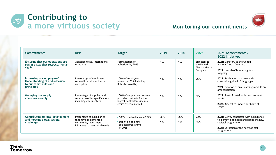



### **Monitoring our commitments**

| <b>Commitments</b>                                                                                  | <b>KPIs</b>                                                                                                    | <b>Target</b>                                                                                                        | 2019        | 2020        | 2021                                                           | 2021 Achievements /<br><b>2022 Initiatives</b>                                                                                                                    |
|-----------------------------------------------------------------------------------------------------|----------------------------------------------------------------------------------------------------------------|----------------------------------------------------------------------------------------------------------------------|-------------|-------------|----------------------------------------------------------------|-------------------------------------------------------------------------------------------------------------------------------------------------------------------|
| Ensuring that our operations are<br>run in a way that respects human<br>rights                      | Adhesion to key international<br>standards                                                                     | Formalisation of<br>adhesions by 2025                                                                                | N.A.        | N.A.        | Signatory to<br>the United<br><b>Nations Global</b><br>Compact | 2021: Signatory to the United<br><b>Nations Global Compact</b><br>2022: Launch of human rights risk<br>mapping                                                    |
| Increasing our employees'<br>Understanding of and adhesion<br>to our ethics rules and<br>principles | Percentage of employees<br>trained in ethics and anti-<br>corruption                                           | 100% of employees<br>trained in 2023 (including<br>Rubis Terminal JV)                                                | N.C.        | N.C.        | 76%                                                            | 2021: Publication of a new anti-<br>corruption guide in 6 languages<br>2021: Creation of an e-learning module on<br>anti-corruption                               |
| Managing our supply<br>chain responsibly                                                            | Percentage of supplier and<br>service provider specifications<br>including ethics criteria                     | 100% of supplier and service<br>provider contracts for the<br>largest CapEx items include<br>ethics criteria in 2023 | N.C.        | N.C.        | N.C.                                                           | 2022: Start of sustainable procurement<br>works<br>2022: Kick-off to update our Code of<br>Ethics                                                                 |
| Contributing to local development<br>and meeting global societal<br>challenges                      | Percentage of subsidiaries<br>that have implemented<br>community investment<br>initiatives to meet local needs | • 100% of subsidiaries in 2025<br>• Definition of a new<br>societal programme<br>in 2025                             | 66%<br>N.A. | 66%<br>N.A. | 72%<br>N.A.                                                    | 2021: Survey conducted with subsidiaries<br>to identify local needs and define the new<br>societal programme<br>2022: Validation of the new societal<br>programme |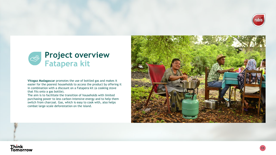



**Vitogaz Madagascar** promotes the use of bottled gas and makes it easier for the poorest households to access the product by offering it in combination with a discount on a Fatapera kit (a cooking stove that fits onto a gas bottle).

The aim is to facilitate the transition of households with limited purchasing power to less carbon -intensive energy and to help them switch from charcoal. Gas, which is easy to cook with, also helps combat large -scale deforestation on the island.



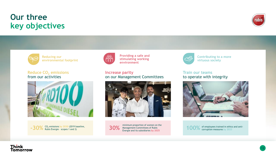### Think<br>Tomorrow

### **Our three key objectives**



**Reduce CO<sup>2</sup> emissions** from our activities







**Providing a safe and stimulating working environment**

**Increase parity** on our Management Committees



minimum proportion of women on the<br>**30%** Management Committees of Rubis<br>formation and its subsidiaries by 2025 Énergie and its subsidiaries **by 2025**



**Contributing to a more virtuous society**

**Train our teams** to operate with integrity



of employees trained in ethics and anti-

corruption measures **by 2023**



**12**